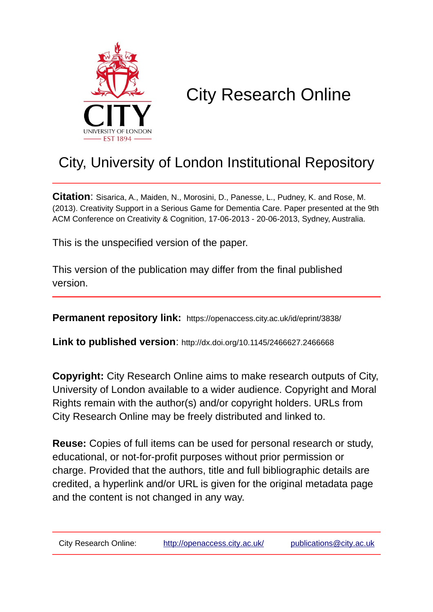

# City Research Online

## City, University of London Institutional Repository

**Citation**: Sisarica, A., Maiden, N., Morosini, D., Panesse, L., Pudney, K. and Rose, M. (2013). Creativity Support in a Serious Game for Dementia Care. Paper presented at the 9th ACM Conference on Creativity & Cognition, 17-06-2013 - 20-06-2013, Sydney, Australia.

This is the unspecified version of the paper.

This version of the publication may differ from the final published version.

**Permanent repository link:** https://openaccess.city.ac.uk/id/eprint/3838/

**Link to published version**: http://dx.doi.org/10.1145/2466627.2466668

**Copyright:** City Research Online aims to make research outputs of City, University of London available to a wider audience. Copyright and Moral Rights remain with the author(s) and/or copyright holders. URLs from City Research Online may be freely distributed and linked to.

**Reuse:** Copies of full items can be used for personal research or study, educational, or not-for-profit purposes without prior permission or charge. Provided that the authors, title and full bibliographic details are credited, a hyperlink and/or URL is given for the original metadata page and the content is not changed in any way.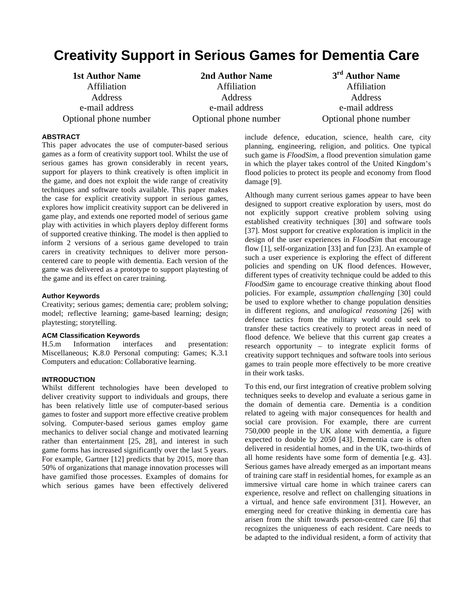### **Creativity Support in Serious Games for Dementia Care**

| <b>1st Author Name</b> | 2nd Author Name       | 3 <sup>rd</sup> Author Name |
|------------------------|-----------------------|-----------------------------|
| Affiliation            | <b>Affiliation</b>    | Affiliation                 |
| Address                | <b>Address</b>        | Address                     |
| e-mail address         | e-mail address        | e-mail address              |
| Optional phone number  | Optional phone number | Optional phone number       |

#### **ABSTRACT**

This paper advocates the use of computer-based serious games as a form of creativity support tool. Whilst the use of serious games has grown considerably in recent years, support for players to think creatively is often implicit in the game, and does not exploit the wide range of creativity techniques and software tools available. This paper makes the case for explicit creativity support in serious games, explores how implicit creativity support can be delivered in game play, and extends one reported model of serious game play with activities in which players deploy different forms of supported creative thinking. The model is then applied to inform 2 versions of a serious game developed to train carers in creativity techniques to deliver more personcentered care to people with dementia. Each version of the game was delivered as a prototype to support playtesting of the game and its effect on carer training.

#### **Author Keywords**

Creativity; serious games; dementia care; problem solving; model; reflective learning; game-based learning; design; playtesting; storytelling.

#### **ACM Classification Keywords**

H.5.m Information interfaces and presentation: Miscellaneous; K.8.0 Personal computing: Games; K.3.1 Computers and education: Collaborative learning.

#### **INTRODUCTION**

Whilst different technologies have been developed to deliver creativity support to individuals and groups, there has been relatively little use of computer-based serious games to foster and support more effective creative problem solving. Computer-based serious games employ game mechanics to deliver social change and motivated learning rather than entertainment [25, 28], and interest in such game forms has increased significantly over the last 5 years. For example, Gartner [12] predicts that by 2015, more than 50% of organizations that manage innovation processes will have gamified those processes. Examples of domains for which serious games have been effectively delivered

include defence, education, science, health care, city planning, engineering, religion, and politics. One typical such game is *FloodSim*, a flood prevention simulation game in which the player takes control of the United Kingdom's flood policies to protect its people and economy from flood damage [9].

Although many current serious games appear to have been designed to support creative exploration by users, most do not explicitly support creative problem solving using established creativity techniques [30] and software tools [37]. Most support for creative exploration is implicit in the design of the user experiences in *FloodSim* that encourage flow [1], self-organization [33] and fun [23]. An example of such a user experience is exploring the effect of different policies and spending on UK flood defences. However, different types of creativity technique could be added to this *FloodSim* game to encourage creative thinking about flood policies. For example, *assumption challenging* [30] could be used to explore whether to change population densities in different regions, and *analogical reasoning* [26] with defence tactics from the military world could seek to transfer these tactics creatively to protect areas in need of flood defence. We believe that this current gap creates a research opportunity – to integrate explicit forms of creativity support techniques and software tools into serious games to train people more effectively to be more creative in their work tasks.

To this end, our first integration of creative problem solving techniques seeks to develop and evaluate a serious game in the domain of dementia care. Dementia is a condition related to ageing with major consequences for health and social care provision. For example, there are current 750,000 people in the UK alone with dementia, a figure expected to double by 2050 [43]. Dementia care is often delivered in residential homes, and in the UK, two-thirds of all home residents have some form of dementia [e.g. 43]. Serious games have already emerged as an important means of training care staff in residential homes, for example as an immersive virtual care home in which trainee carers can experience, resolve and reflect on challenging situations in a virtual, and hence safe environment [31]. However, an emerging need for creative thinking in dementia care has arisen from the shift towards person-centred care [6] that recognizes the uniqueness of each resident. Care needs to be adapted to the individual resident, a form of activity that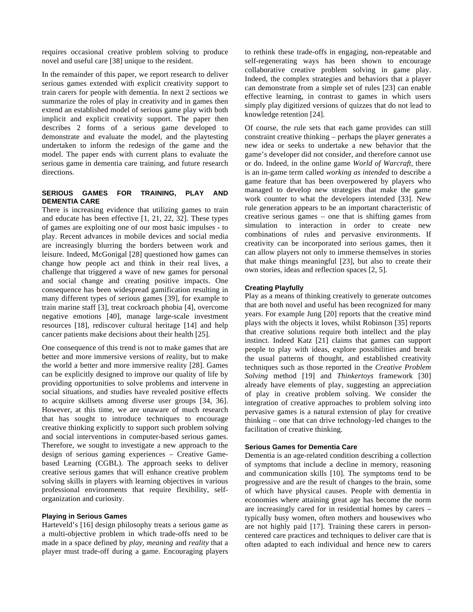requires occasional creative problem solving to produce novel and useful care [38] unique to the resident.

In the remainder of this paper, we report research to deliver serious games extended with explicit creativity support to train carers for people with dementia. In next 2 sections we summarize the roles of play in creativity and in games then extend an established model of serious game play with both implicit and explicit creativity support. The paper then describes 2 forms of a serious game developed to demonstrate and evaluate the model, and the playtesting undertaken to inform the redesign of the game and the model. The paper ends with current plans to evaluate the serious game in dementia care training, and future research directions.

#### **SERIOUS GAMES FOR TRAINING, PLAY AND DEMENTIA CARE**

There is increasing evidence that utilizing games to train and educate has been effective [1, 21, 22, 32]. These types of games are exploiting one of our most basic impulses - to play. Recent advances in mobile devices and social media are increasingly blurring the borders between work and leisure. Indeed, McGonigal [28] questioned how games can change how people act and think in their real lives, a challenge that triggered a wave of new games for personal and social change and creating positive impacts. One consequence has been widespread gamification resulting in many different types of serious games [39], for example to train marine staff [3], treat cockroach phobia [4], overcome negative emotions [40], manage large-scale investment resources [18], rediscover cultural heritage [14] and help cancer patients make decisions about their health [25].

One consequence of this trend is not to make games that are better and more immersive versions of reality, but to make the world a better and more immersive reality [28]. Games can be explicitly designed to improve our quality of life by providing opportunities to solve problems and intervene in social situations, and studies have revealed positive effects to acquire skillsets among diverse user groups [34, 36]. However, at this time, we are unaware of much research that has sought to introduce techniques to encourage creative thinking explicitly to support such problem solving and social interventions in computer-based serious games. Therefore, we sought to investigate a new approach to the design of serious gaming experiences – Creative Gamebased Learning (CGBL). The approach seeks to deliver creative serious games that will enhance creative problem solving skills in players with learning objectives in various professional environments that require flexibility, selforganization and curiosity.

#### **Playing in Serious Games**

Harteveld's [16] design philosophy treats a serious game as a multi-objective problem in which trade-offs need to be made in a space defined by *play*, *meaning* and *reality* that a player must trade-off during a game. Encouraging players to rethink these trade-offs in engaging, non-repeatable and self-regenerating ways has been shown to encourage collaborative creative problem solving in game play. Indeed, the complex strategies and behaviors that a player can demonstrate from a simple set of rules [23] can enable effective learning, in contrast to games in which users simply play digitized versions of quizzes that do not lead to knowledge retention [24].

Of course, the rule sets that each game provides can still constraint creative thinking – perhaps the player generates a new idea or seeks to undertake a new behavior that the game's developer did not consider, and therefore cannot use or do. Indeed, in the online game *World of Warcraft*, there is an in-game term called *working as intended* to describe a game feature that has been overpowered by players who managed to develop new strategies that make the game work counter to what the developers intended [33]. New rule generation appears to be an important characteristic of creative serious games – one that is shifting games from simulation to interaction in order to create new combinations of rules and pervasive environments. If creativity can be incorporated into serious games, then it can allow players not only to immerse themselves in stories that make things meaningful [23], but also to create their own stories, ideas and reflection spaces [2, 5].

#### **Creating Playfully**

Play as a means of thinking creatively to generate outcomes that are both novel and useful has been recognized for many years. For example Jung [20] reports that the creative mind plays with the objects it loves, whilst Robinson [35] reports that creative solutions require both intellect and the play instinct. Indeed Katz [21] claims that games can support people to play with ideas, explore possibilities and break the usual patterns of thought, and established creativity techniques such as those reported in the *Creative Problem Solving* method [19] and *Thinkertoys* framework [30] already have elements of play, suggesting an appreciation of play in creative problem solving. We consider the integration of creative approaches to problem solving into pervasive games is a natural extension of play for creative thinking – one that can drive technology-led changes to the facilitation of creative thinking.

#### **Serious Games for Dementia Care**

Dementia is an age-related condition describing a collection of symptoms that include a decline in memory, reasoning and communication skills [10]. The symptoms tend to be progressive and are the result of changes to the brain, some of which have physical causes. People with dementia in economies where attaining great age has become the norm are increasingly cared for in residential homes by carers – typically busy women, often mothers and housewives who are not highly paid [17]. Training these carers in personcentered care practices and techniques to deliver care that is often adapted to each individual and hence new to carers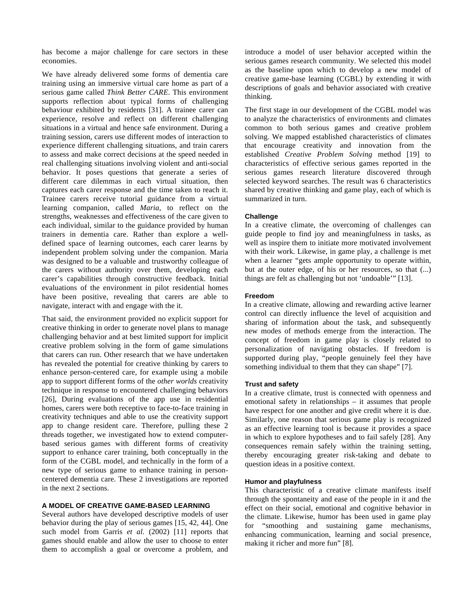has become a major challenge for care sectors in these economies.

We have already delivered some forms of dementia care training using an immersive virtual care home as part of a serious game called *Think Better CARE*. This environment supports reflection about typical forms of challenging behaviour exhibited by residents [31]. A trainee carer can experience, resolve and reflect on different challenging situations in a virtual and hence safe environment. During a training session, carers use different modes of interaction to experience different challenging situations, and train carers to assess and make correct decisions at the speed needed in real challenging situations involving violent and anti-social behavior. It poses questions that generate a series of different care dilemmas in each virtual situation, then captures each carer response and the time taken to reach it. Trainee carers receive tutorial guidance from a virtual learning companion, called *Maria*, to reflect on the strengths, weaknesses and effectiveness of the care given to each individual, similar to the guidance provided by human trainers in dementia care. Rather than explore a welldefined space of learning outcomes, each carer learns by independent problem solving under the companion. Maria was designed to be a valuable and trustworthy colleague of the carers without authority over them, developing each carer's capabilities through constructive feedback. Initial evaluations of the environment in pilot residential homes have been positive, revealing that carers are able to navigate, interact with and engage with the it.

That said, the environment provided no explicit support for creative thinking in order to generate novel plans to manage challenging behavior and at best limited support for implicit creative problem solving in the form of game simulations that carers can run. Other research that we have undertaken has revealed the potential for creative thinking by carers to enhance person-centered care, for example using a mobile app to support different forms of the *other worlds* creativity technique in response to encountered challenging behaviors [26], During evaluations of the app use in residential homes, carers were both receptive to face-to-face training in creativity techniques and able to use the creativity support app to change resident care. Therefore, pulling these 2 threads together, we investigated how to extend computerbased serious games with different forms of creativity support to enhance carer training, both conceptually in the form of the CGBL model, and technically in the form of a new type of serious game to enhance training in personcentered dementia care. These 2 investigations are reported in the next 2 sections.

#### **A MODEL OF CREATIVE GAME-BASED LEARNING**

Several authors have developed descriptive models of user behavior during the play of serious games [15, 42, 44]. One such model from Garris *et al.* (2002) [11] reports that games should enable and allow the user to choose to enter them to accomplish a goal or overcome a problem, and introduce a model of user behavior accepted within the serious games research community. We selected this model as the baseline upon which to develop a new model of creative game-base learning (CGBL) by extending it with descriptions of goals and behavior associated with creative thinking.

The first stage in our development of the CGBL model was to analyze the characteristics of environments and climates common to both serious games and creative problem solving. We mapped established characteristics of climates that encourage creativity and innovation from the established *Creative Problem Solving* method [19] to characteristics of effective serious games reported in the serious games research literature discovered through selected keyword searches. The result was 6 characteristics shared by creative thinking and game play, each of which is summarized in turn.

#### **Challenge**

In a creative climate, the overcoming of challenges can guide people to find joy and meaningfulness in tasks, as well as inspire them to initiate more motivated involvement with their work. Likewise, in game play, a challenge is met when a learner "gets ample opportunity to operate within, but at the outer edge, of his or her resources, so that (...) things are felt as challenging but not 'undoable'" [13].

#### **Freedom**

In a creative climate, allowing and rewarding active learner control can directly influence the level of acquisition and sharing of information about the task, and subsequently new modes of methods emerge from the interaction. The concept of freedom in game play is closely related to personalization of navigating obstacles. If freedom is supported during play, "people genuinely feel they have something individual to them that they can shape" [7].

#### **Trust and safety**

In a creative climate, trust is connected with openness and emotional safety in relationships – it assumes that people have respect for one another and give credit where it is due. Similarly, one reason that serious game play is recognized as an effective learning tool is because it provides a space in which to explore hypotheses and to fail safely [28]. Any consequences remain safely within the training setting, thereby encouraging greater risk-taking and debate to question ideas in a positive context.

#### **Humor and playfulness**

This characteristic of a creative climate manifests itself through the spontaneity and ease of the people in it and the effect on their social, emotional and cognitive behavior in the climate. Likewise, humor has been used in game play for "smoothing and sustaining game mechanisms, enhancing communication, learning and social presence, making it richer and more fun" [8].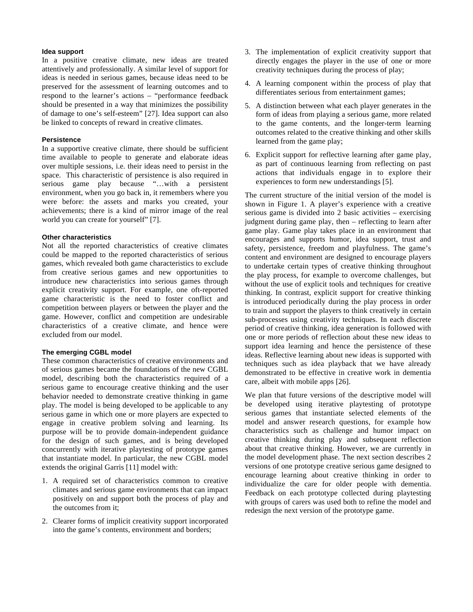#### **Idea support**

In a positive creative climate, new ideas are treated attentively and professionally. A similar level of support for ideas is needed in serious games, because ideas need to be preserved for the assessment of learning outcomes and to respond to the learner's actions – "performance feedback should be presented in a way that minimizes the possibility of damage to one's self-esteem" [27]. Idea support can also be linked to concepts of reward in creative climates.

#### **Persistence**

In a supportive creative climate, there should be sufficient time available to people to generate and elaborate ideas over multiple sessions, i.e. their ideas need to persist in the space. This characteristic of persistence is also required in serious game play because "…with a persistent environment, when you go back in, it remembers where you were before: the assets and marks you created, your achievements; there is a kind of mirror image of the real world you can create for yourself" [7].

#### **Other characteristics**

Not all the reported characteristics of creative climates could be mapped to the reported characteristics of serious games, which revealed both game characteristics to exclude from creative serious games and new opportunities to introduce new characteristics into serious games through explicit creativity support. For example, one oft-reported game characteristic is the need to foster conflict and competition between players or between the player and the game. However, conflict and competition are undesirable characteristics of a creative climate, and hence were excluded from our model.

#### **The emerging CGBL model**

These common characteristics of creative environments and of serious games became the foundations of the new CGBL model, describing both the characteristics required of a serious game to encourage creative thinking and the user behavior needed to demonstrate creative thinking in game play. The model is being developed to be applicable to any serious game in which one or more players are expected to engage in creative problem solving and learning. Its purpose will be to provide domain-independent guidance for the design of such games, and is being developed concurrently with iterative playtesting of prototype games that instantiate model. In particular, the new CGBL model extends the original Garris [11] model with:

- 1. A required set of characteristics common to creative climates and serious game environments that can impact positively on and support both the process of play and the outcomes from it;
- 2. Clearer forms of implicit creativity support incorporated into the game's contents, environment and borders;
- 3. The implementation of explicit creativity support that directly engages the player in the use of one or more creativity techniques during the process of play;
- 4. A learning component within the process of play that differentiates serious from entertainment games;
- 5. A distinction between what each player generates in the form of ideas from playing a serious game, more related to the game contents, and the longer-term learning outcomes related to the creative thinking and other skills learned from the game play;
- 6. Explicit support for reflective learning after game play, as part of continuous learning from reflecting on past actions that individuals engage in to explore their experiences to form new understandings [5].

The current structure of the initial version of the model is shown in Figure 1. A player's experience with a creative serious game is divided into 2 basic activities – exercising judgment during game play, then – reflecting to learn after game play. Game play takes place in an environment that encourages and supports humor, idea support, trust and safety, persistence, freedom and playfulness. The game's content and environment are designed to encourage players to undertake certain types of creative thinking throughout the play process, for example to overcome challenges, but without the use of explicit tools and techniques for creative thinking. In contrast, explicit support for creative thinking is introduced periodically during the play process in order to train and support the players to think creatively in certain sub-processes using creativity techniques. In each discrete period of creative thinking, idea generation is followed with one or more periods of reflection about these new ideas to support idea learning and hence the persistence of these ideas. Reflective learning about new ideas is supported with techniques such as idea playback that we have already demonstrated to be effective in creative work in dementia care, albeit with mobile apps [26].

We plan that future versions of the descriptive model will be developed using iterative playtesting of prototype serious games that instantiate selected elements of the model and answer research questions, for example how characteristics such as challenge and humor impact on creative thinking during play and subsequent reflection about that creative thinking. However, we are currently in the model development phase. The next section describes 2 versions of one prototype creative serious game designed to encourage learning about creative thinking in order to individualize the care for older people with dementia. Feedback on each prototype collected during playtesting with groups of carers was used both to refine the model and redesign the next version of the prototype game.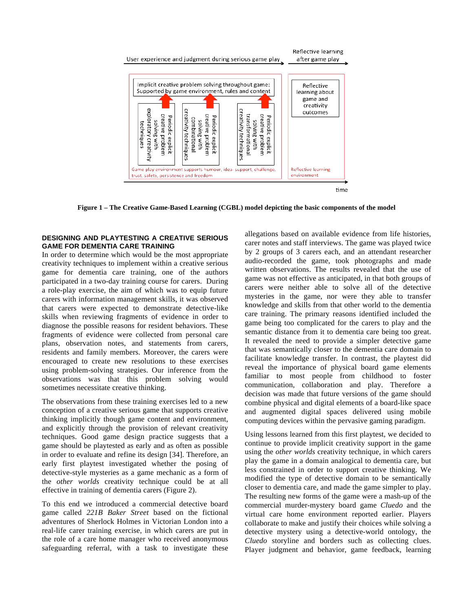

**Figure 1 – The Creative Game-Based Learning (CGBL) model depicting the basic components of the model**

#### **DESIGNING AND PLAYTESTING A CREATIVE SERIOUS GAME FOR DEMENTIA CARE TRAINING**

In order to determine which would be the most appropriate creativity techniques to implement within a creative serious game for dementia care training, one of the authors participated in a two-day training course for carers. During a role-play exercise, the aim of which was to equip future carers with information management skills, it was observed that carers were expected to demonstrate detective-like skills when reviewing fragments of evidence in order to diagnose the possible reasons for resident behaviors. These fragments of evidence were collected from personal care plans, observation notes, and statements from carers, residents and family members. Moreover, the carers were encouraged to create new resolutions to these exercises using problem-solving strategies. Our inference from the observations was that this problem solving would sometimes necessitate creative thinking.

The observations from these training exercises led to a new conception of a creative serious game that supports creative thinking implicitly though game content and environment, and explicitly through the provision of relevant creativity techniques. Good game design practice suggests that a game should be playtested as early and as often as possible in order to evaluate and refine its design [34]. Therefore, an early first playtest investigated whether the posing of detective-style mysteries as a game mechanic as a form of the *other worlds* creativity technique could be at all effective in training of dementia carers (Figure 2).

To this end we introduced a commercial detective board game called *221B Baker Street* based on the fictional adventures of Sherlock Holmes in Victorian London into a real-life carer training exercise, in which carers are put in the role of a care home manager who received anonymous safeguarding referral, with a task to investigate these

allegations based on available evidence from life histories, carer notes and staff interviews. The game was played twice by 2 groups of 3 carers each, and an attendant researcher audio-recorded the game, took photographs and made written observations. The results revealed that the use of game was not effective as anticipated, in that both groups of carers were neither able to solve all of the detective mysteries in the game, nor were they able to transfer knowledge and skills from that other world to the dementia care training. The primary reasons identified included the game being too complicated for the carers to play and the semantic distance from it to dementia care being too great. It revealed the need to provide a simpler detective game that was semantically closer to the dementia care domain to facilitate knowledge transfer. In contrast, the playtest did reveal the importance of physical board game elements familiar to most people from childhood to foster communication, collaboration and play. Therefore a decision was made that future versions of the game should combine physical and digital elements of a board-like space and augmented digital spaces delivered using mobile computing devices within the pervasive gaming paradigm.

Using lessons learned from this first playtest, we decided to continue to provide implicit creativity support in the game using the *other worlds* creativity technique, in which carers play the game in a domain analogical to dementia care, but less constrained in order to support creative thinking. We modified the type of detective domain to be semantically closer to dementia care, and made the game simpler to play. The resulting new forms of the game were a mash-up of the commercial murder-mystery board game *Cluedo* and the virtual care home environment reported earlier. Players collaborate to make and justify their choices while solving a detective mystery using a detective-world ontology, the *Cluedo* storyline and borders such as collecting clues. Player judgment and behavior, game feedback, learning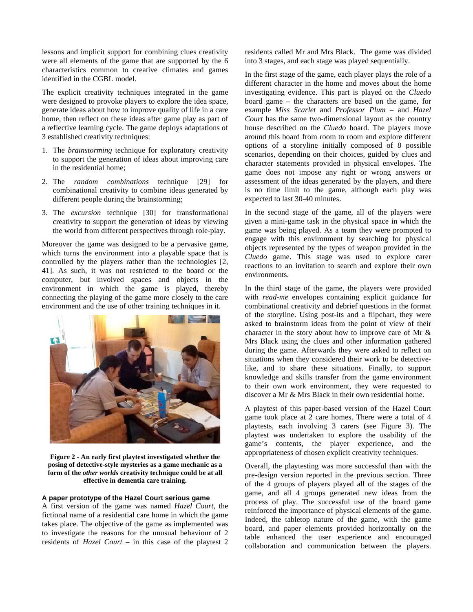lessons and implicit support for combining clues creativity were all elements of the game that are supported by the 6 characteristics common to creative climates and games identified in the CGBL model.

The explicit creativity techniques integrated in the game were designed to provoke players to explore the idea space, generate ideas about how to improve quality of life in a care home, then reflect on these ideas after game play as part of a reflective learning cycle. The game deploys adaptations of 3 established creativity techniques:

- 1. The *brainstorming* technique for exploratory creativity to support the generation of ideas about improving care in the residential home;
- 2. The *random combinations* technique [29] for combinational creativity to combine ideas generated by different people during the brainstorming;
- 3. The *excursion* technique [30] for transformational creativity to support the generation of ideas by viewing the world from different perspectives through role-play.

Moreover the game was designed to be a pervasive game, which turns the environment into a playable space that is controlled by the players rather than the technologies [2, 41]. As such, it was not restricted to the board or the computer, but involved spaces and objects in the environment in which the game is played, thereby connecting the playing of the game more closely to the care environment and the use of other training techniques in it.



**Figure 2 - An early first playtest investigated whether the posing of detective-style mysteries as a game mechanic as a form of the** *other worlds* **creativity technique could be at all effective in dementia care training.**

#### **A paper prototype of the Hazel Court serious game**

A first version of the game was named *Hazel Court*, the fictional name of a residential care home in which the game takes place. The objective of the game as implemented was to investigate the reasons for the unusual behaviour of 2 residents of *Hazel Court* – in this case of the playtest 2 residents called Mr and Mrs Black. The game was divided into 3 stages, and each stage was played sequentially.

In the first stage of the game, each player plays the role of a different character in the home and moves about the home investigating evidence. This part is played on the *Cluedo* board game – the characters are based on the game, for example *Miss Scarlet* and *Professor Plum* – and *Hazel Court* has the same two-dimensional layout as the country house described on the *Cluedo* board. The players move around this board from room to room and explore different options of a storyline initially composed of 8 possible scenarios, depending on their choices, guided by clues and character statements provided in physical envelopes. The game does not impose any right or wrong answers or assessment of the ideas generated by the players, and there is no time limit to the game, although each play was expected to last 30-40 minutes.

In the second stage of the game, all of the players were given a mini-game task in the physical space in which the game was being played. As a team they were prompted to engage with this environment by searching for physical objects represented by the types of weapon provided in the *Cluedo* game. This stage was used to explore carer reactions to an invitation to search and explore their own environments.

In the third stage of the game, the players were provided with *read-me* envelopes containing explicit guidance for combinational creativity and debrief questions in the format of the storyline. Using post-its and a flipchart, they were asked to brainstorm ideas from the point of view of their character in the story about how to improve care of Mr & Mrs Black using the clues and other information gathered during the game. Afterwards they were asked to reflect on situations when they considered their work to be detectivelike, and to share these situations. Finally, to support knowledge and skills transfer from the game environment to their own work environment, they were requested to discover a Mr & Mrs Black in their own residential home.

A playtest of this paper-based version of the Hazel Court game took place at 2 care homes. There were a total of 4 playtests, each involving 3 carers (see Figure 3). The playtest was undertaken to explore the usability of the game's contents, the player experience, and the appropriateness of chosen explicit creativity techniques.

Overall, the playtesting was more successful than with the pre-design version reported in the previous section. Three of the 4 groups of players played all of the stages of the game, and all 4 groups generated new ideas from the process of play. The successful use of the board game reinforced the importance of physical elements of the game. Indeed, the tabletop nature of the game, with the game board, and paper elements provided horizontally on the table enhanced the user experience and encouraged collaboration and communication between the players.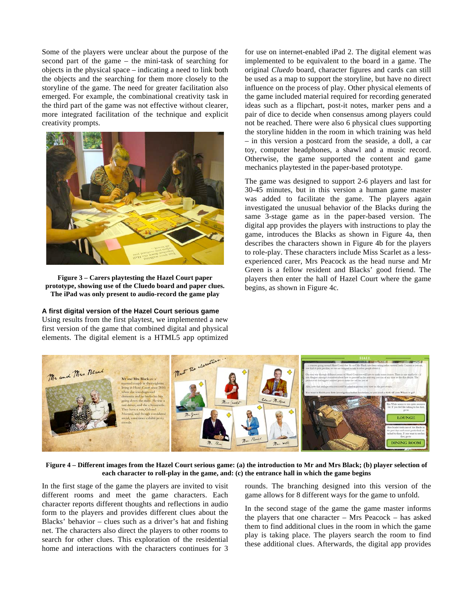Some of the players were unclear about the purpose of the second part of the game – the mini-task of searching for objects in the physical space – indicating a need to link both the objects and the searching for them more closely to the storyline of the game. The need for greater facilitation also emerged. For example, the combinational creativity task in the third part of the game was not effective without clearer, more integrated facilitation of the technique and explicit creativity prompts.



**Figure 3 – Carers playtesting the Hazel Court paper prototype, showing use of the Cluedo board and paper clues. The iPad was only present to audio-record the game play**

**A first digital version of the Hazel Court serious game** Using results from the first playtest, we implemented a new first version of the game that combined digital and physical elements. The digital element is a HTML5 app optimized

for use on internet-enabled iPad 2. The digital element was implemented to be equivalent to the board in a game. The original *Cluedo* board, character figures and cards can still be used as a map to support the storyline, but have no direct influence on the process of play. Other physical elements of the game included material required for recording generated ideas such as a flipchart, post-it notes, marker pens and a pair of dice to decide when consensus among players could not be reached. There were also 6 physical clues supporting the storyline hidden in the room in which training was held – in this version a postcard from the seaside, a doll, a car toy, computer headphones, a shawl and a music record. Otherwise, the game supported the content and game mechanics playtested in the paper-based prototype.

The game was designed to support 2-6 players and last for 30-45 minutes, but in this version a human game master was added to facilitate the game. The players again investigated the unusual behavior of the Blacks during the same 3-stage game as in the paper-based version. The digital app provides the players with instructions to play the game, introduces the Blacks as shown in Figure 4a, then describes the characters shown in Figure 4b for the players to role-play. These characters include Miss Scarlet as a lessexperienced carer, Mrs Peacock as the head nurse and Mr Green is a fellow resident and Blacks' good friend. The players then enter the hall of Hazel Court where the game begins, as shown in Figure 4c.



**Figure 4 – Different images from the Hazel Court serious game: (a) the introduction to Mr and Mrs Black; (b) player selection of each character to roll-play in the game, and: (c) the entrance hall in which the game begins**

In the first stage of the game the players are invited to visit different rooms and meet the game characters. Each character reports different thoughts and reflections in audio form to the players and provides different clues about the Blacks' behavior – clues such as a driver's hat and fishing net. The characters also direct the players to other rooms to search for other clues. This exploration of the residential home and interactions with the characters continues for 3

rounds. The branching designed into this version of the game allows for 8 different ways for the game to unfold.

In the second stage of the game the game master informs the players that one character – Mrs Peacock – has asked them to find additional clues in the room in which the game play is taking place. The players search the room to find these additional clues. Afterwards, the digital app provides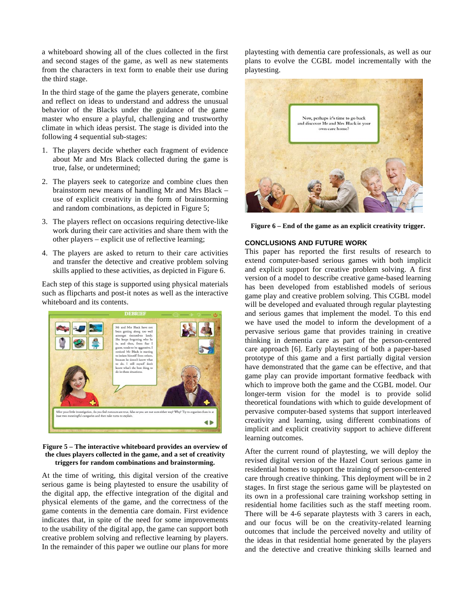a whiteboard showing all of the clues collected in the first and second stages of the game, as well as new statements from the characters in text form to enable their use during the third stage.

In the third stage of the game the players generate, combine and reflect on ideas to understand and address the unusual behavior of the Blacks under the guidance of the game master who ensure a playful, challenging and trustworthy climate in which ideas persist. The stage is divided into the following 4 sequential sub-stages:

- 1. The players decide whether each fragment of evidence about Mr and Mrs Black collected during the game is true, false, or undetermined;
- 2. The players seek to categorize and combine clues then brainstorm new means of handling Mr and Mrs Black – use of explicit creativity in the form of brainstorming and random combinations, as depicted in Figure 5;
- 3. The players reflect on occasions requiring detective-like work during their care activities and share them with the other players – explicit use of reflective learning;
- 4. The players are asked to return to their care activities and transfer the detective and creative problem solving skills applied to these activities, as depicted in Figure 6.

Each step of this stage is supported using physical materials such as flipcharts and post-it notes as well as the interactive whiteboard and its contents.



#### **Figure 5 – The interactive whiteboard provides an overview of the clues players collected in the game, and a set of creativity triggers for random combinations and brainstorming.**

At the time of writing, this digital version of the creative serious game is being playtested to ensure the usability of the digital app, the effective integration of the digital and physical elements of the game, and the correctness of the game contents in the dementia care domain. First evidence indicates that, in spite of the need for some improvements to the usability of the digital app, the game can support both creative problem solving and reflective learning by players. In the remainder of this paper we outline our plans for more

playtesting with dementia care professionals, as well as our plans to evolve the CGBL model incrementally with the playtesting.



**Figure 6 – End of the game as an explicit creativity trigger.**

#### **CONCLUSIONS AND FUTURE WORK**

This paper has reported the first results of research to extend computer-based serious games with both implicit and explicit support for creative problem solving. A first version of a model to describe creative game-based learning has been developed from established models of serious game play and creative problem solving. This CGBL model will be developed and evaluated through regular playtesting and serious games that implement the model. To this end we have used the model to inform the development of a pervasive serious game that provides training in creative thinking in dementia care as part of the person-centered care approach [6]. Early playtesting of both a paper-based prototype of this game and a first partially digital version have demonstrated that the game can be effective, and that game play can provide important formative feedback with which to improve both the game and the CGBL model. Our longer-term vision for the model is to provide solid theoretical foundations with which to guide development of pervasive computer-based systems that support interleaved creativity and learning, using different combinations of implicit and explicit creativity support to achieve different learning outcomes.

After the current round of playtesting, we will deploy the revised digital version of the Hazel Court serious game in residential homes to support the training of person-centered care through creative thinking. This deployment will be in 2 stages. In first stage the serious game will be playtested on its own in a professional care training workshop setting in residential home facilities such as the staff meeting room. There will be 4-6 separate playtests with 3 carers in each, and our focus will be on the creativity-related learning outcomes that include the perceived novelty and utility of the ideas in that residential home generated by the players and the detective and creative thinking skills learned and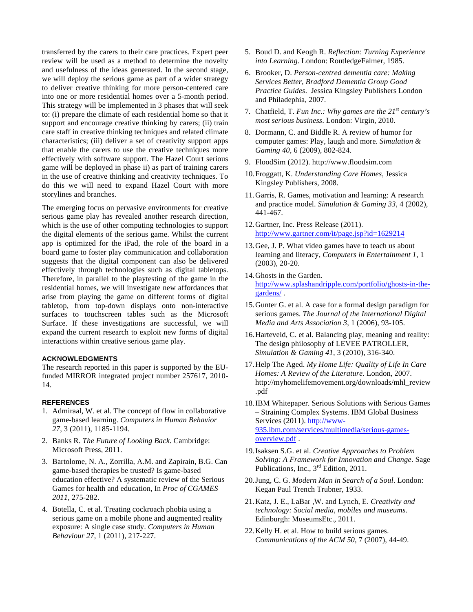transferred by the carers to their care practices. Expert peer review will be used as a method to determine the novelty and usefulness of the ideas generated. In the second stage, we will deploy the serious game as part of a wider strategy to deliver creative thinking for more person-centered care into one or more residential homes over a 5-month period. This strategy will be implemented in 3 phases that will seek to: (i) prepare the climate of each residential home so that it support and encourage creative thinking by carers; (ii) train care staff in creative thinking techniques and related climate characteristics; (iii) deliver a set of creativity support apps that enable the carers to use the creative techniques more effectively with software support. The Hazel Court serious game will be deployed in phase ii) as part of training carers in the use of creative thinking and creativity techniques. To do this we will need to expand Hazel Court with more storylines and branches.

The emerging focus on pervasive environments for creative serious game play has revealed another research direction, which is the use of other computing technologies to support the digital elements of the serious game. Whilst the current app is optimized for the iPad, the role of the board in a board game to foster play communication and collaboration suggests that the digital component can also be delivered effectively through technologies such as digital tabletops. Therefore, in parallel to the playtesting of the game in the residential homes, we will investigate new affordances that arise from playing the game on different forms of digital tabletop, from top-down displays onto non-interactive surfaces to touchscreen tables such as the Microsoft Surface. If these investigations are successful, we will expand the current research to exploit new forms of digital interactions within creative serious game play.

#### **ACKNOWLEDGMENTS**

The research reported in this paper is supported by the EUfunded MIRROR integrated project number 257617, 2010- 14.

#### **REFERENCES**

- 1. Admiraal, W. et al. The concept of flow in collaborative game-based learning. *Computers in Human Behavior 27*, 3 (2011), 1185-1194.
- 2. Banks R. *The Future of Looking Back*. Cambridge: Microsoft Press, 2011.
- 3. Bartolome, N. A., Zorrilla, A.M. and Zapirain, B.G. Can game-based therapies be trusted? Is game-based education effective? A systematic review of the Serious Games for health and education, In *Proc of CGAMES 2011*, 275-282.
- 4. Botella, C. et al. Treating cockroach phobia using a serious game on a mobile phone and augmented reality exposure: A single case study. *Computers in Human Behaviour 27*, 1 (2011), 217-227.
- 5. Boud D. and Keogh R. *Reflection: Turning Experience into Learning*. London: RoutledgeFalmer, 1985.
- 6. Brooker, D. *Person-centred dementia care: Making Services Better, Bradford Dementia Group Good Practice Guides*. Jessica Kingsley Publishers London and Philadephia, 2007.
- 7. Chatfield, T. *Fun Inc.: Why games are the 21st century's most serious business*. London: Virgin, 2010.
- 8. Dormann, C. and Biddle R. A review of humor for computer games: Play, laugh and more. *Simulation & Gaming 40*, 6 (2009), 802-824.
- 9. FloodSim (2012). http://www.floodsim.com
- 10.Froggatt, K. *Understanding Care Homes*, Jessica Kingsley Publishers, 2008.
- 11.Garris, R. Games, motivation and learning: A research and practice model. *Simulation & Gaming 33*, 4 (2002), 441-467.
- 12.Gartner, Inc. Press Release (2011). http://www.gartner.com/it/page.jsp?id=1629214
- 13.Gee, J. P. What video games have to teach us about learning and literacy, *Computers in Entertainment 1*, 1 (2003), 20-20.
- 14.Ghosts in the Garden. http://www.splashandripple.com/portfolio/ghosts-in-thegardens/ .
- 15.Gunter G. et al. A case for a formal design paradigm for serious games. *The Journal of the International Digital Media and Arts Association 3*, 1 (2006), 93-105.
- 16.Harteveld, C. et al. Balancing play, meaning and reality: The design philosophy of LEVEE PATROLLER, *Simulation & Gaming 41*, 3 (2010), 316-340.
- 17.Help The Aged. *My Home Life: Quality of Life In Care Homes: A Review of the Literature*. London, 2007. http://myhomelifemovement.org/downloads/mhl\_review .pdf
- 18.IBM Whitepaper. Serious Solutions with Serious Games – Straining Complex Systems. IBM Global Business Services (2011). http://www-935.ibm.com/services/multimedia/serious-gamesoverview.pdf .
- 19.Isaksen S.G. et al. *Creative Approaches to Problem Solving: A Framework for Innovation and Change*. Sage Publications, Inc., 3<sup>rd</sup> Edition, 2011.
- 20.Jung, C. G. *Modern Man in Search of a Soul*. London: Kegan Paul Trench Trubner, 1933.
- 21.Katz, J. E., LaBar ,W. and Lynch, E. *Creativity and technology: Social media, mobiles and museums*. Edinburgh: MuseumsEtc., 2011.
- 22.Kelly H. et al. How to build serious games. *Communications of the ACM 50*, 7 (2007), 44-49.